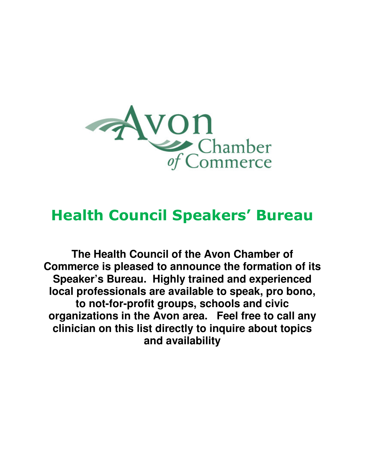

## **Health Council Speakers' Bureau**

**The Health Council of the Avon Chamber of Commerce is pleased to announce the formation of its Speaker's Bureau. Highly trained and experienced local professionals are available to speak, pro bono, to not-for-profit groups, schools and civic organizations in the Avon area. Feel free to call any clinician on this list directly to inquire about topics and availability**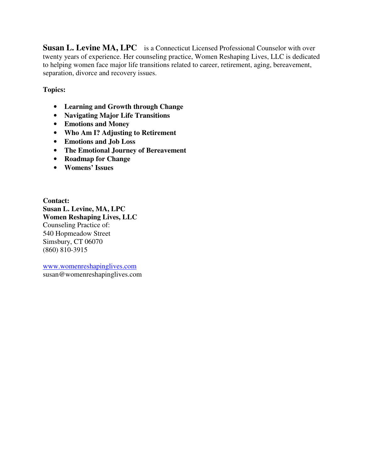**Susan L. Levine MA, LPC** is a Connecticut Licensed Professional Counselor with over twenty years of experience. Her counseling practice, Women Reshaping Lives, LLC is dedicated to helping women face major life transitions related to career, retirement, aging, bereavement, separation, divorce and recovery issues.

**Topics:** 

- **Learning and Growth through Change**
- **Navigating Major Life Transitions**
- **Emotions and Money**
- **Who Am I? Adjusting to Retirement**
- **Emotions and Job Loss**
- **The Emotional Journey of Bereavement**
- **Roadmap for Change**
- **Womens' Issues**

**Contact: Susan L. Levine, MA, LPC Women Reshaping Lives, LLC** Counseling Practice of: 540 Hopmeadow Street Simsbury, CT 06070 (860) 810-3915

www.womenreshapinglives.com susan@womenreshapinglives.com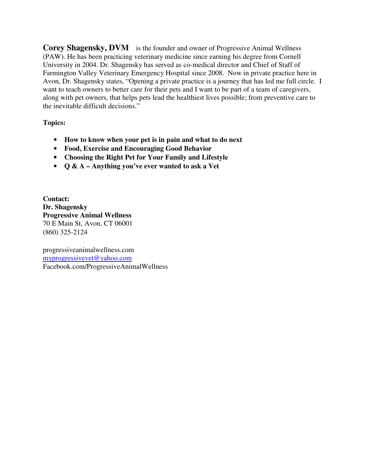**Corey Shagensky, DVM** is the founder and owner of Progressive Animal Wellness (PAW). He has been practicing veterinary medicine since earning his degree from Cornell University in 2004. Dr. Shagensky has served as co-medical director and Chief of Staff of Farmington Valley Veterinary Emergency Hospital since 2008. Now in private practice here in Avon, Dr. Shagensky states, "Opening a private practice is a journey that has led me full circle. I want to teach owners to better care for their pets and I want to be part of a team of caregivers, along with pet owners, that helps pets lead the healthiest lives possible; from preventive care to the inevitable difficult decisions."

**Topics:** 

- **How to know when your pet is in pain and what to do next**
- **Food, Exercise and Encouraging Good Behavior**
- **Choosing the Right Pet for Your Family and Lifestyle**
- **Q & A Anything you've ever wanted to ask a Vet**

**Contact: Dr. Shagensky Progressive Animal Wellness**  70 E Main St, Avon, CT 06001 (860) 325-2124

progressiveanimalwellness.com myprogressivevet@yahoo.com Facebook.com/ProgressiveAnimalWellness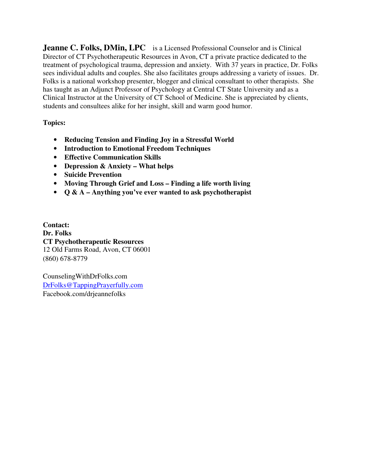**Jeanne C. Folks, DMin, LPC** is a Licensed Professional Counselor and is Clinical Director of CT Psychotherapeutic Resources in Avon, CT a private practice dedicated to the treatment of psychological trauma, depression and anxiety. With 37 years in practice, Dr. Folks sees individual adults and couples. She also facilitates groups addressing a variety of issues. Dr. Folks is a national workshop presenter, blogger and clinical consultant to other therapists. She has taught as an Adjunct Professor of Psychology at Central CT State University and as a Clinical Instructor at the University of CT School of Medicine. She is appreciated by clients, students and consultees alike for her insight, skill and warm good humor.

**Topics:** 

- **Reducing Tension and Finding Joy in a Stressful World**
- **Introduction to Emotional Freedom Techniques**
- **Effective Communication Skills**
- **Depression & Anxiety What helps**
- **Suicide Prevention**
- **Moving Through Grief and Loss Finding a life worth living**
- **Q & A Anything you've ever wanted to ask psychotherapist**

**Contact: Dr. Folks CT Psychotherapeutic Resources**  12 Old Farms Road, Avon, CT 06001 (860) 678-8779

CounselingWithDrFolks.com DrFolks@TappingPrayerfully.com Facebook.com/drjeannefolks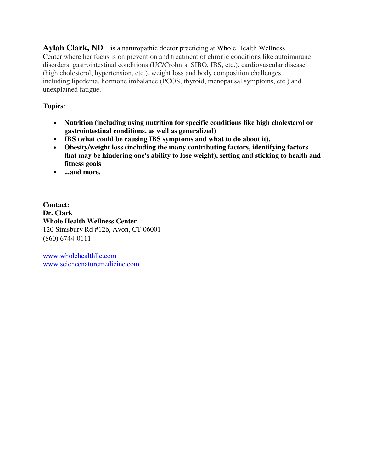**Aylah Clark, ND** is a naturopathic doctor practicing at Whole Health Wellness Center where her focus is on prevention and treatment of chronic conditions like autoimmune disorders, gastrointestinal conditions (UC/Crohn's, SIBO, IBS, etc.), cardiovascular disease (high cholesterol, hypertension, etc.), weight loss and body composition challenges including lipedema, hormone imbalance (PCOS, thyroid, menopausal symptoms, etc.) and unexplained fatigue.

## **Topics**:

- **Nutrition (including using nutrition for specific conditions like high cholesterol or gastrointestinal conditions, as well as generalized)**
- **IBS (what could be causing IBS symptoms and what to do about it),**
- **Obesity/weight loss (including the many contributing factors, identifying factors that may be hindering one's ability to lose weight), setting and sticking to health and fitness goals**
- **...and more.**

**Contact: Dr. Clark Whole Health Wellness Center**  120 Simsbury Rd #12b, Avon, CT 06001 (860) 6744-0111

www.wholehealthllc.com www.sciencenaturemedicine.com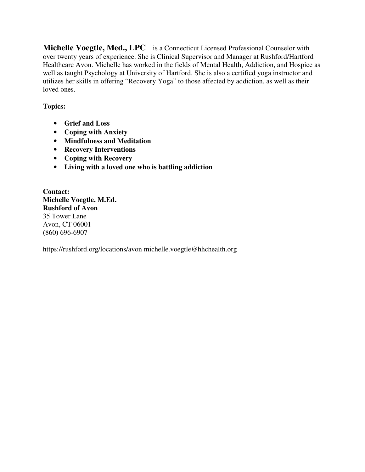**Michelle Voegtle, Med., LPC** is a Connecticut Licensed Professional Counselor with over twenty years of experience. She is Clinical Supervisor and Manager at Rushford/Hartford Healthcare Avon. Michelle has worked in the fields of Mental Health, Addiction, and Hospice as well as taught Psychology at University of Hartford. She is also a certified yoga instructor and utilizes her skills in offering "Recovery Yoga" to those affected by addiction, as well as their loved ones.

## **Topics:**

- **Grief and Loss**
- **Coping with Anxiety**
- **Mindfulness and Meditation**
- **Recovery Interventions**
- **Coping with Recovery**
- **Living with a loved one who is battling addiction**

**Contact: Michelle Voegtle, M.Ed. Rushford of Avon**  35 Tower Lane Avon, CT 06001 (860) 696-6907

https://rushford.org/locations/avon michelle.voegtle@hhchealth.org